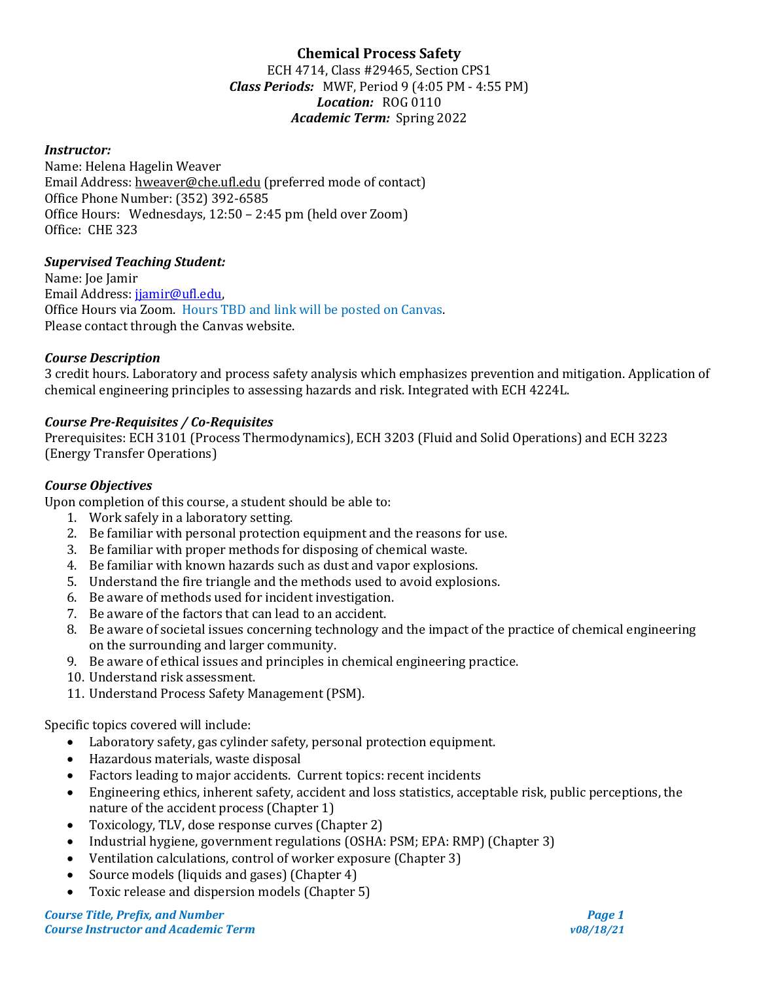# **Chemical Process Safety**

ECH 4714, Class #29465, Section CPS1 *Class Periods:* MWF, Period 9 (4:05 PM - 4:55 PM) *Location:* ROG 0110 *Academic Term:* Spring 2022

### *Instructor:*

Name: Helena Hagelin Weaver Email Address: hweaver@che.ufl.edu (preferred mode of contact) Office Phone Number: (352) 392-6585 Office Hours: Wednesdays, 12:50 – 2:45 pm (held over Zoom) Office: CHE 323

#### *Supervised Teaching Student:*

Name: Joe Jamir Email Address: [jjamir@ufl.edu,](mailto:jjamir@ufl.edu) Office Hours via Zoom. Hours TBD and link will be posted on Canvas. Please contact through the Canvas website.

#### *Course Description*

3 credit hours. Laboratory and process safety analysis which emphasizes prevention and mitigation. Application of chemical engineering principles to assessing hazards and risk. Integrated with ECH 4224L.

## *Course Pre-Requisites / Co-Requisites*

Prerequisites: ECH 3101 (Process Thermodynamics), ECH 3203 (Fluid and Solid Operations) and ECH 3223 (Energy Transfer Operations)

#### *Course Objectives*

Upon completion of this course, a student should be able to:

- 1. Work safely in a laboratory setting.
- 2. Be familiar with personal protection equipment and the reasons for use.
- 3. Be familiar with proper methods for disposing of chemical waste.
- 4. Be familiar with known hazards such as dust and vapor explosions.
- 5. Understand the fire triangle and the methods used to avoid explosions.
- 6. Be aware of methods used for incident investigation.
- 7. Be aware of the factors that can lead to an accident.
- 8. Be aware of societal issues concerning technology and the impact of the practice of chemical engineering on the surrounding and larger community.
- 9. Be aware of ethical issues and principles in chemical engineering practice.
- 10. Understand risk assessment.
- 11. Understand Process Safety Management (PSM).

Specific topics covered will include:

- Laboratory safety, gas cylinder safety, personal protection equipment.
- Hazardous materials, waste disposal
- Factors leading to major accidents. Current topics: recent incidents
- Engineering ethics, inherent safety, accident and loss statistics, acceptable risk, public perceptions, the nature of the accident process (Chapter 1)
- Toxicology, TLV, dose response curves (Chapter 2)
- Industrial hygiene, government regulations (OSHA: PSM; EPA: RMP) (Chapter 3)
- Ventilation calculations, control of worker exposure (Chapter 3)
- Source models (liquids and gases) (Chapter 4)
- Toxic release and dispersion models (Chapter 5)

*Course Title, Prefix, and Number Page 1 Course Instructor and Academic Term v08/18/21*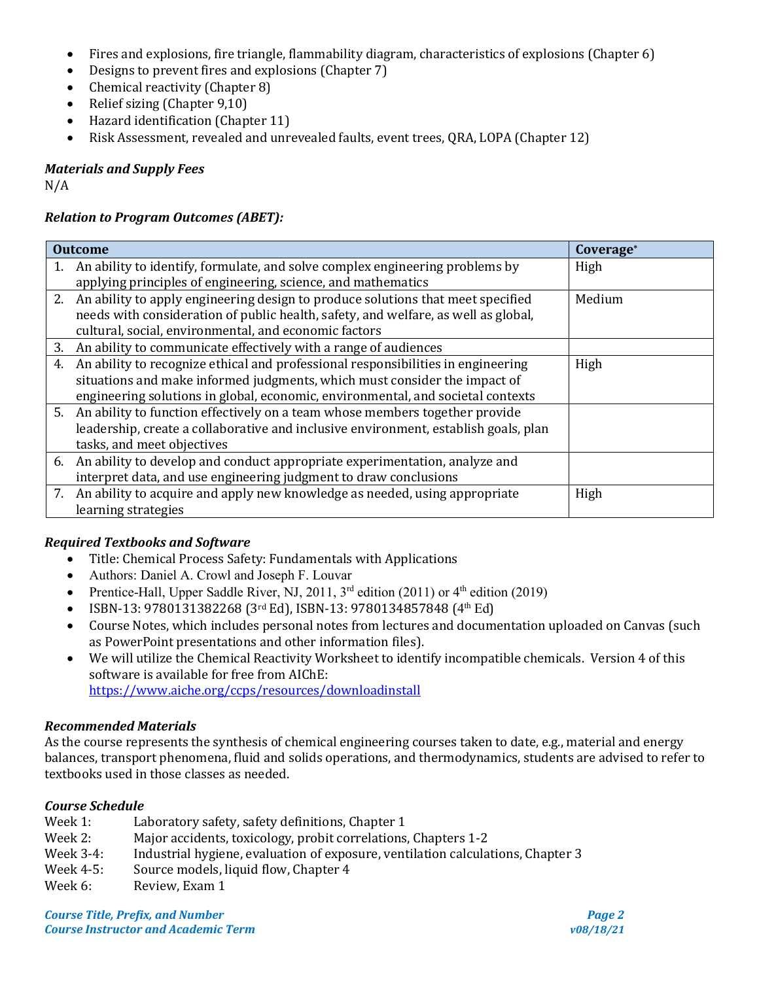- Fires and explosions, fire triangle, flammability diagram, characteristics of explosions (Chapter 6)
- Designs to prevent fires and explosions (Chapter 7)
- Chemical reactivity (Chapter 8)
- Relief sizing (Chapter 9,10)
- Hazard identification (Chapter 11)
- Risk Assessment, revealed and unrevealed faults, event trees, QRA, LOPA (Chapter 12)

*Materials and Supply Fees*

N/A

## *Relation to Program Outcomes (ABET):*

| <b>Outcome</b> |                                                                                     | Coverage <sup>*</sup> |
|----------------|-------------------------------------------------------------------------------------|-----------------------|
|                | 1. An ability to identify, formulate, and solve complex engineering problems by     | High                  |
|                | applying principles of engineering, science, and mathematics                        |                       |
|                | 2. An ability to apply engineering design to produce solutions that meet specified  | Medium                |
|                | needs with consideration of public health, safety, and welfare, as well as global,  |                       |
|                | cultural, social, environmental, and economic factors                               |                       |
|                | 3. An ability to communicate effectively with a range of audiences                  |                       |
| 4.             | An ability to recognize ethical and professional responsibilities in engineering    | High                  |
|                | situations and make informed judgments, which must consider the impact of           |                       |
|                | engineering solutions in global, economic, environmental, and societal contexts     |                       |
|                | 5. An ability to function effectively on a team whose members together provide      |                       |
|                | leadership, create a collaborative and inclusive environment, establish goals, plan |                       |
|                | tasks, and meet objectives                                                          |                       |
|                | 6. An ability to develop and conduct appropriate experimentation, analyze and       |                       |
|                | interpret data, and use engineering judgment to draw conclusions                    |                       |
|                | 7. An ability to acquire and apply new knowledge as needed, using appropriate       | High                  |
|                | learning strategies                                                                 |                       |

## *Required Textbooks and Software*

- Title: Chemical Process Safety: Fundamentals with Applications
- Authors: Daniel A. Crowl and Joseph F. Louvar
- Prentice-Hall, Upper Saddle River, NJ, 2011,  $3<sup>rd</sup>$  edition (2011) or  $4<sup>th</sup>$  edition (2019)
- ISBN-13: 9780131382268 (3rd Ed), ISBN-13: 9780134857848 (4th Ed)
- Course Notes, which includes personal notes from lectures and documentation uploaded on Canvas (such as PowerPoint presentations and other information files).
- We will utilize the Chemical Reactivity Worksheet to identify incompatible chemicals. Version 4 of this software is available for free from AIChE: <https://www.aiche.org/ccps/resources/downloadinstall>

## *Recommended Materials*

As the course represents the synthesis of chemical engineering courses taken to date, e.g., material and energy balances, transport phenomena, fluid and solids operations, and thermodynamics, students are advised to refer to textbooks used in those classes as needed.

## *Course Schedule*

- Week 1: Laboratory safety, safety definitions, Chapter 1<br>Week 2: Maior accidents, toxicology, probit correlations
- Week 2: Major accidents, toxicology, probit correlations, Chapters 1-2<br>Week 3-4: Industrial hygiene. evaluation of exposure. ventilation calcula
- Week 3-4: Industrial hygiene, evaluation of exposure, ventilation calculations, Chapter 3<br>Week 4-5: Source models. liquid flow. Chapter 4
- Week 4-5: Source models, liquid flow, Chapter 4<br>Week 6: Review. Exam 1
- Review, Exam 1

*Course Title, Prefix, and Number Page 2 Course Instructor and Academic Term v08/18/21*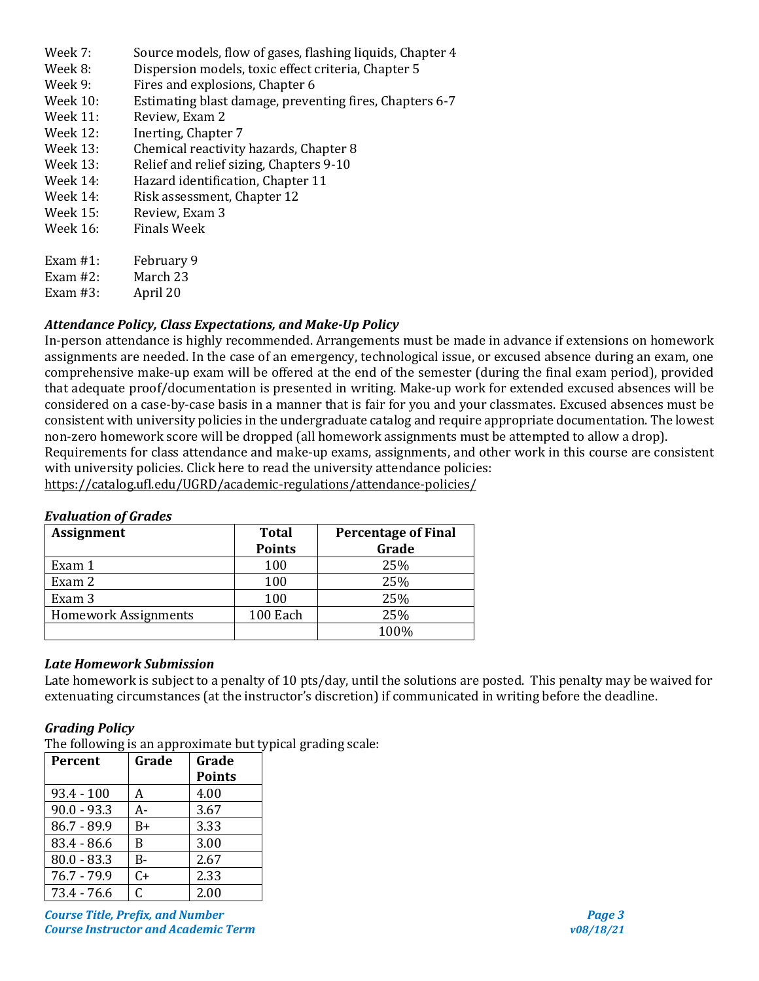- Week 7: Source models, flow of gases, flashing liquids, Chapter 4<br>Week 8: Dispersion models, toxic effect criteria, Chapter 5
- Week 8: Dispersion models, toxic effect criteria, Chapter 5<br>Week 9: Fires and explosions. Chapter 6
- Week 9: Fires and explosions, Chapter 6<br>Week 10: Estimating blast damage, prever
- Week 10: Estimating blast damage, preventing fires, Chapters 6-7<br>Week 11: Review, Exam 2
- Week 11: Review, Exam 2<br>Week 12: Inerting. Chapte
- Week 12: Inerting, Chapter 7<br>Week 13: Chemical reactivity
- Week 13: Chemical reactivity hazards, Chapter 8<br>Week 13: Relief and relief sizing, Chapters 9-10
- Week 13: Relief and relief sizing, Chapters 9-10<br>Week 14: Hazard identification. Chapter 11
- Week 14: Hazard identification, Chapter 11<br>Week 14: Risk assessment, Chapter 12
- Week 14: Risk assessment, Chapter 12<br>Week 15: Review. Exam 3
- Week 15: Review, Exam 3<br>Week 16: Finals Week
- Finals Week
- Exam #1: February 9<br>Exam #2: March 23
- March 23<br>April 20
- Exam  $#3$ :

## *Attendance Policy, Class Expectations, and Make-Up Policy*

In-person attendance is highly recommended. Arrangements must be made in advance if extensions on homework assignments are needed. In the case of an emergency, technological issue, or excused absence during an exam, one comprehensive make-up exam will be offered at the end of the semester (during the final exam period), provided that adequate proof/documentation is presented in writing. Make-up work for extended excused absences will be considered on a case-by-case basis in a manner that is fair for you and your classmates. Excused absences must be consistent with university policies in the undergraduate catalog and require appropriate documentation. The lowest non-zero homework score will be dropped (all homework assignments must be attempted to allow a drop).

Requirements for class attendance and make-up exams, assignments, and other work in this course are consistent with university policies. Click here to read the university attendance policies:

<https://catalog.ufl.edu/UGRD/academic-regulations/attendance-policies/>

## *Evaluation of Grades*

| <b>Assignment</b>           | <b>Total</b>  | <b>Percentage of Final</b> |
|-----------------------------|---------------|----------------------------|
|                             | <b>Points</b> | Grade                      |
| Exam 1                      | 100           | 25%                        |
| Exam 2                      | 100           | 25%                        |
| Exam 3                      | 100           | 25%                        |
| <b>Homework Assignments</b> | 100 Each      | 25%                        |
|                             |               | 100%                       |

## *Late Homework Submission*

Late homework is subject to a penalty of 10 pts/day, until the solutions are posted. This penalty may be waived for extenuating circumstances (at the instructor's discretion) if communicated in writing before the deadline.

#### *Grading Policy*

The following is an approximate but typical grading scale:

| Percent       | Grade | Grade         |
|---------------|-------|---------------|
|               |       | <b>Points</b> |
| $93.4 - 100$  | A     | 4.00          |
| $90.0 - 93.3$ | A-    | 3.67          |
| $86.7 - 89.9$ | $B+$  | 3.33          |
| $83.4 - 86.6$ | R     | 3.00          |
| $80.0 - 83.3$ | B-    | 2.67          |
| $76.7 - 79.9$ | $C+$  | 2.33          |
| $73.4 - 76.6$ | C.    | 2.00          |

*Course Title, Prefix, and Number Page 3 Course Instructor and Academic Term v08/18/21*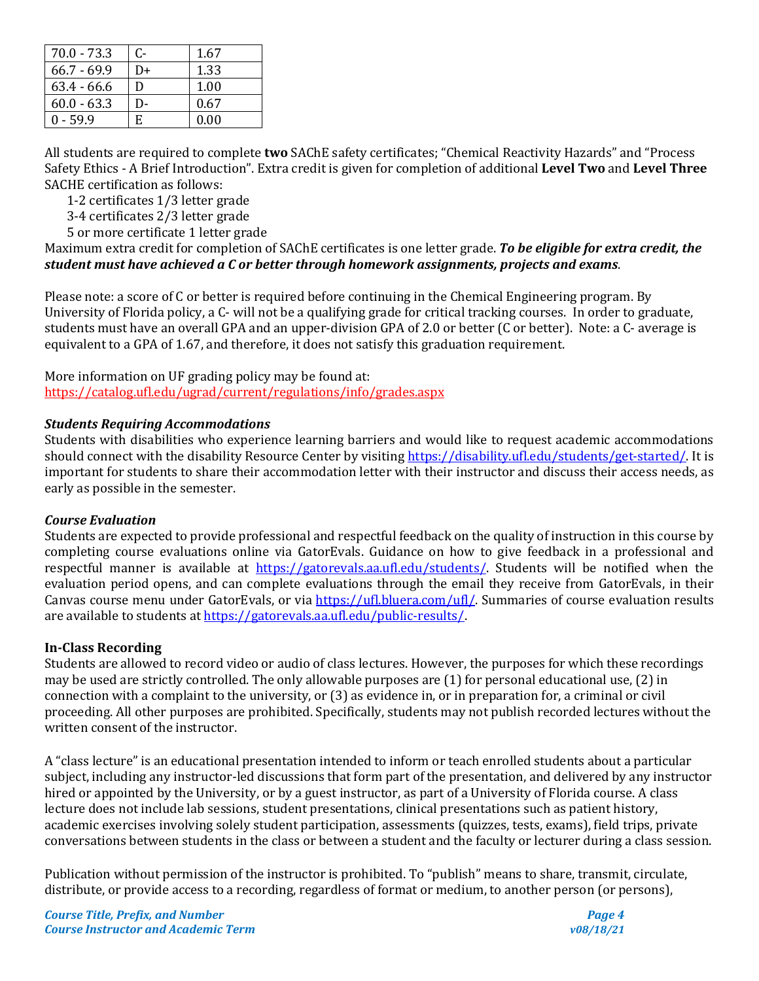| $70.0 - 73.3$ | C- | 1.67 |
|---------------|----|------|
| $66.7 - 69.9$ | D+ | 1.33 |
| $63.4 - 66.6$ | D  | 1.00 |
| $60.0 - 63.3$ | D- | 0.67 |
| $0 - 59.9$    | F. | 0.00 |

All students are required to complete **two** SAChE safety certificates; "Chemical Reactivity Hazards" and "Process Safety Ethics - A Brief Introduction". Extra credit is given for completion of additional **Level Two** and **Level Three** SACHE certification as follows:

1-2 certificates 1/3 letter grade

3-4 certificates 2/3 letter grade

5 or more certificate 1 letter grade

Maximum extra credit for completion of SAChE certificates is one letter grade. *To be eligible for extra credit, the student must have achieved a C or better through homework assignments, projects and exams*.

Please note: a score of C or better is required before continuing in the Chemical Engineering program. By University of Florida policy, a C- will not be a qualifying grade for critical tracking courses. In order to graduate, students must have an overall GPA and an upper-division GPA of 2.0 or better (C or better). Note: a C- average is equivalent to a GPA of 1.67, and therefore, it does not satisfy this graduation requirement.

More information on UF grading policy may be found at: <https://catalog.ufl.edu/ugrad/current/regulations/info/grades.aspx>

## *Students Requiring Accommodations*

Students with disabilities who experience learning barriers and would like to request academic accommodations should connect with the disability Resource Center by visiting [https://disability.ufl.edu/students/get-started/.](https://disability.ufl.edu/students/get-started/) It is important for students to share their accommodation letter with their instructor and discuss their access needs, as early as possible in the semester.

#### *Course Evaluation*

Students are expected to provide professional and respectful feedback on the quality of instruction in this course by completing course evaluations online via GatorEvals. Guidance on how to give feedback in a professional and respectful manner is available at [https://gatorevals.aa.ufl.edu/students/.](https://gatorevals.aa.ufl.edu/students/) Students will be notified when the evaluation period opens, and can complete evaluations through the email they receive from GatorEvals, in their Canvas course menu under GatorEvals, or via [https://ufl.bluera.com/ufl/.](https://ufl.bluera.com/ufl/) Summaries of course evaluation results are available to students a[t https://gatorevals.aa.ufl.edu/public-results/.](https://gatorevals.aa.ufl.edu/public-results/)

## **In-Class Recording**

Students are allowed to record video or audio of class lectures. However, the purposes for which these recordings may be used are strictly controlled. The only allowable purposes are (1) for personal educational use, (2) in connection with a complaint to the university, or (3) as evidence in, or in preparation for, a criminal or civil proceeding. All other purposes are prohibited. Specifically, students may not publish recorded lectures without the written consent of the instructor.

A "class lecture" is an educational presentation intended to inform or teach enrolled students about a particular subject, including any instructor-led discussions that form part of the presentation, and delivered by any instructor hired or appointed by the University, or by a guest instructor, as part of a University of Florida course. A class lecture does not include lab sessions, student presentations, clinical presentations such as patient history, academic exercises involving solely student participation, assessments (quizzes, tests, exams), field trips, private conversations between students in the class or between a student and the faculty or lecturer during a class session.

Publication without permission of the instructor is prohibited. To "publish" means to share, transmit, circulate, distribute, or provide access to a recording, regardless of format or medium, to another person (or persons),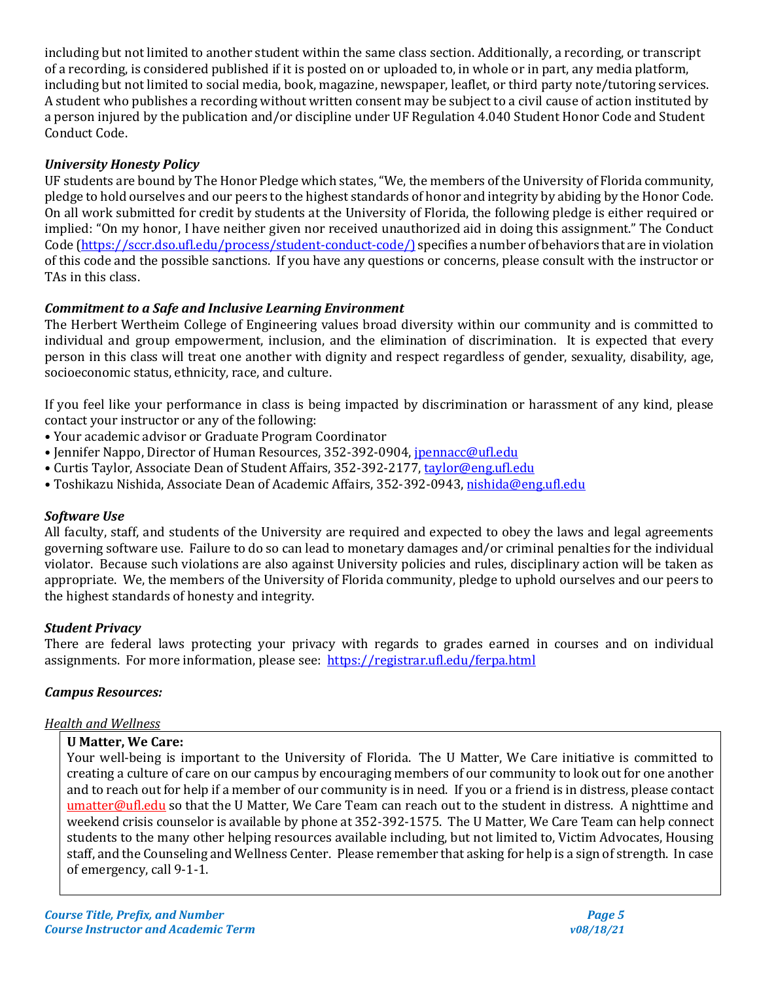including but not limited to another student within the same class section. Additionally, a recording, or transcript of a recording, is considered published if it is posted on or uploaded to, in whole or in part, any media platform, including but not limited to social media, book, magazine, newspaper, leaflet, or third party note/tutoring services. A student who publishes a recording without written consent may be subject to a civil cause of action instituted by a person injured by the publication and/or discipline under UF Regulation 4.040 Student Honor Code and Student Conduct Code.

## *University Honesty Policy*

UF students are bound by The Honor Pledge which states, "We, the members of the University of Florida community, pledge to hold ourselves and our peers to the highest standards of honor and integrity by abiding by the Honor Code. On all work submitted for credit by students at the University of Florida, the following pledge is either required or implied: "On my honor, I have neither given nor received unauthorized aid in doing this assignment." The Conduct Code [\(https://sccr.dso.ufl.edu/process/student-conduct-code/\)](https://sccr.dso.ufl.edu/process/student-conduct-code/) specifies a number of behaviors that are in violation of this code and the possible sanctions. If you have any questions or concerns, please consult with the instructor or TAs in this class.

## *Commitment to a Safe and Inclusive Learning Environment*

The Herbert Wertheim College of Engineering values broad diversity within our community and is committed to individual and group empowerment, inclusion, and the elimination of discrimination. It is expected that every person in this class will treat one another with dignity and respect regardless of gender, sexuality, disability, age, socioeconomic status, ethnicity, race, and culture.

If you feel like your performance in class is being impacted by discrimination or harassment of any kind, please contact your instructor or any of the following:

- Your academic advisor or Graduate Program Coordinator
- Jennifer Nappo, Director of Human Resources, 352-392-0904, [jpennacc@ufl.edu](mailto:jpennacc@ufl.edu)
- Curtis Taylor, Associate Dean of Student Affairs, 352-392-2177[, taylor@eng.ufl.edu](mailto:taylor@eng.ufl.edu)
- Toshikazu Nishida, Associate Dean of Academic Affairs, 352-392-0943[, nishida@eng.ufl.edu](mailto:nishida@eng.ufl.edu)

## *Software Use*

All faculty, staff, and students of the University are required and expected to obey the laws and legal agreements governing software use. Failure to do so can lead to monetary damages and/or criminal penalties for the individual violator. Because such violations are also against University policies and rules, disciplinary action will be taken as appropriate. We, the members of the University of Florida community, pledge to uphold ourselves and our peers to the highest standards of honesty and integrity.

## *Student Privacy*

There are federal laws protecting your privacy with regards to grades earned in courses and on individual assignments. For more information, please see: <https://registrar.ufl.edu/ferpa.html>

## *Campus Resources:*

## *Health and Wellness*

## **U Matter, We Care:**

Your well-being is important to the University of Florida. The U Matter, We Care initiative is committed to creating a culture of care on our campus by encouraging members of our community to look out for one another and to reach out for help if a member of our community is in need. If you or a friend is in distress, please contact [umatter@ufl.edu](mailto:umatter@ufl.edu) so that the U Matter, We Care Team can reach out to the student in distress. A nighttime and weekend crisis counselor is available by phone at 352-392-1575. The U Matter, We Care Team can help connect students to the many other helping resources available including, but not limited to, Victim Advocates, Housing staff, and the Counseling and Wellness Center. Please remember that asking for help is a sign of strength. In case of emergency, call 9-1-1.